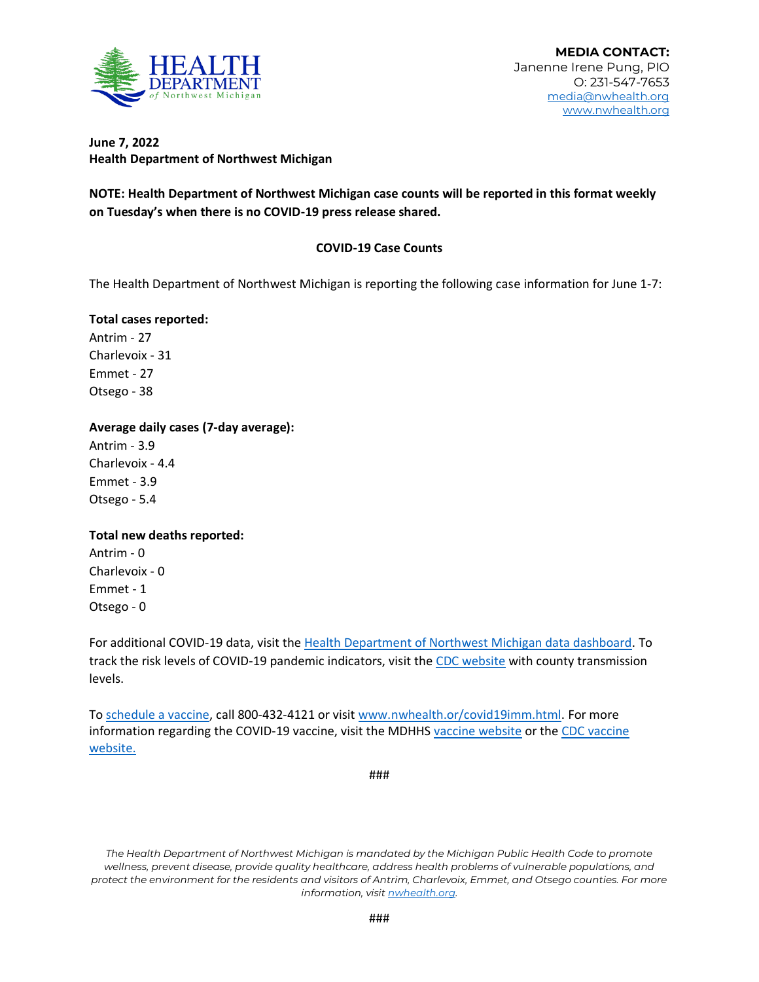

# **June 7, 2022 Health Department of Northwest Michigan**

**NOTE: Health Department of Northwest Michigan case counts will be reported in this format weekly on Tuesday's when there is no COVID-19 press release shared.** 

# **COVID-19 Case Counts**

The Health Department of Northwest Michigan is reporting the following case information for June 1-7:

#### **Total cases reported:**

Antrim - 27 Charlevoix - 31 Emmet - 27 Otsego - 38

### **Average daily cases (7-day average):**

Antrim - 3.9 Charlevoix - 4.4 Emmet - 3.9 Otsego - 5.4

# **Total new deaths reported:**

Antrim - 0 Charlevoix - 0 Emmet - 1 Otsego - 0

For additional COVID-19 data, visit th[e Health Department of Northwest Michigan data dashboard.](http://nwhealth.org/covid19dash2.html) To track the risk levels of COVID-19 pandemic indicators, visit th[e CDC website](https://covid.cdc.gov/COVID-data-tracker/#datatracker-home) with county transmission levels.

T[o schedule a vaccine,](https://www.nwhealth.org/covid19imm.html) call 800-432-4121 or visit [www.nwhealth.or/covid19imm.html.](http://www.nwhealth.or/covid19imm.html) For more information regarding the COVID-19 vaccine, visit the MDHHS [vaccine website](https://www.michigan.gov/coronavirus/0,9753,7-406-98178_103214---,00.html) or the [CDC vaccine](https://www.cdc.gov/vaccines/covid-19/index.html)  [website.](https://www.cdc.gov/vaccines/covid-19/index.html)

###

*The Health Department of Northwest Michigan is mandated by the Michigan Public Health Code to promote wellness, prevent disease, provide quality healthcare, address health problems of vulnerable populations, and protect the environment for the residents and visitors of Antrim, Charlevoix, Emmet, and Otsego counties. For more information, visi[t nwhealth.org.](http://nwhealth.org/)*